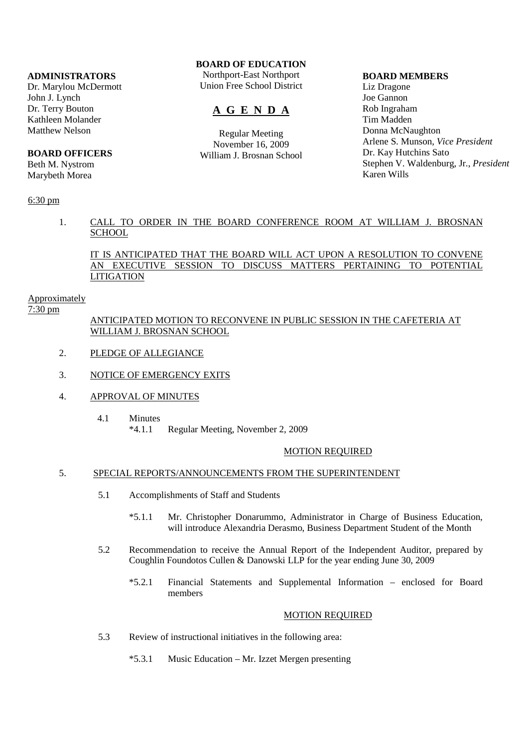## **ADMINISTRATORS**

Dr. Marylou McDermott John J. Lynch Dr. Terry Bouton Kathleen Molander Matthew Nelson

## **BOARD OFFICERS**

Beth M. Nystrom Marybeth Morea

## 6:30 pm

## **BOARD OF EDUCATION**

Northport-East Northport Union Free School District

# **A G E N D A**

Regular Meeting November 16, 2009 William J. Brosnan School

#### **BOARD MEMBERS**

Liz Dragone Joe Gannon Rob Ingraham Tim Madden Donna McNaughton Arlene S. Munson, *Vice President* Dr. Kay Hutchins Sato Stephen V. Waldenburg, Jr., *President* Karen Wills

## 1. CALL TO ORDER IN THE BOARD CONFERENCE ROOM AT WILLIAM J. BROSNAN **SCHOOL**

IT IS ANTICIPATED THAT THE BOARD WILL ACT UPON A RESOLUTION TO CONVENE AN EXECUTIVE SESSION TO DISCUSS MATTERS PERTAINING TO POTENTIAL **LITIGATION** 

#### Approximately

7:30 pm

## ANTICIPATED MOTION TO RECONVENE IN PUBLIC SESSION IN THE CAFETERIA AT WILLIAM J. BROSNAN SCHOOL

- 2. PLEDGE OF ALLEGIANCE
- 3. NOTICE OF EMERGENCY EXITS
- 4. APPROVAL OF MINUTES
	- 4.1 Minutes \*4.1.1 Regular Meeting, November 2, 2009

#### MOTION REQUIRED

### 5. SPECIAL REPORTS/ANNOUNCEMENTS FROM THE SUPERINTENDENT

- 5.1 Accomplishments of Staff and Students
	- \*5.1.1 Mr. Christopher Donarummo, Administrator in Charge of Business Education, will introduce Alexandria Derasmo, Business Department Student of the Month
- 5.2 Recommendation to receive the Annual Report of the Independent Auditor, prepared by Coughlin Foundotos Cullen & Danowski LLP for the year ending June 30, 2009
	- \*5.2.1 Financial Statements and Supplemental Information enclosed for Board members

## MOTION REQUIRED

- 5.3 Review of instructional initiatives in the following area:
	- \*5.3.1 Music Education Mr. Izzet Mergen presenting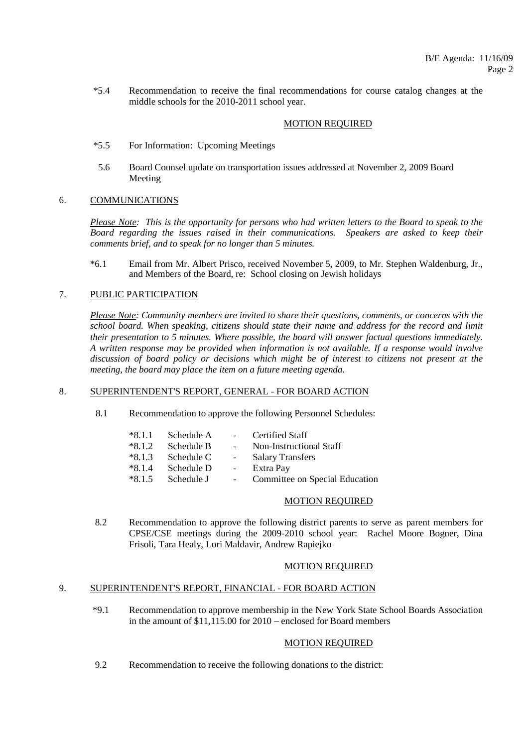\*5.4 Recommendation to receive the final recommendations for course catalog changes at the middle schools for the 2010-2011 school year.

#### MOTION REQUIRED

- \*5.5 For Information: Upcoming Meetings
- 5.6 Board Counsel update on transportation issues addressed at November 2, 2009 Board Meeting

#### 6. COMMUNICATIONS

*Please Note: This is the opportunity for persons who had written letters to the Board to speak to the Board regarding the issues raised in their communications. Speakers are asked to keep their comments brief, and to speak for no longer than 5 minutes.*

 \*6.1 Email from Mr. Albert Prisco, received November 5, 2009, to Mr. Stephen Waldenburg, Jr., and Members of the Board, re: School closing on Jewish holidays

#### 7. PUBLIC PARTICIPATION

*Please Note: Community members are invited to share their questions, comments, or concerns with the school board. When speaking, citizens should state their name and address for the record and limit their presentation to 5 minutes. Where possible, the board will answer factual questions immediately. A written response may be provided when information is not available. If a response would involve discussion of board policy or decisions which might be of interest to citizens not present at the meeting, the board may place the item on a future meeting agenda*.

#### 8. SUPERINTENDENT'S REPORT, GENERAL - FOR BOARD ACTION

8.1 Recommendation to approve the following Personnel Schedules:

| Schedule A |        | Certified Staff                |
|------------|--------|--------------------------------|
| Schedule B |        | Non-Instructional Staff        |
| Schedule C | $\sim$ | <b>Salary Transfers</b>        |
| Schedule D | $\sim$ | Extra Pay                      |
| Schedule J |        | Committee on Special Education |
|            |        |                                |

#### MOTION REQUIRED

 8.2 Recommendation to approve the following district parents to serve as parent members for CPSE/CSE meetings during the 2009-2010 school year: Rachel Moore Bogner, Dina Frisoli, Tara Healy, Lori Maldavir, Andrew Rapiejko

#### MOTION REQUIRED

#### 9. SUPERINTENDENT'S REPORT, FINANCIAL - FOR BOARD ACTION

 \*9.1 Recommendation to approve membership in the New York State School Boards Association in the amount of \$11,115.00 for 2010 – enclosed for Board members

## MOTION REQUIRED

9.2 Recommendation to receive the following donations to the district: